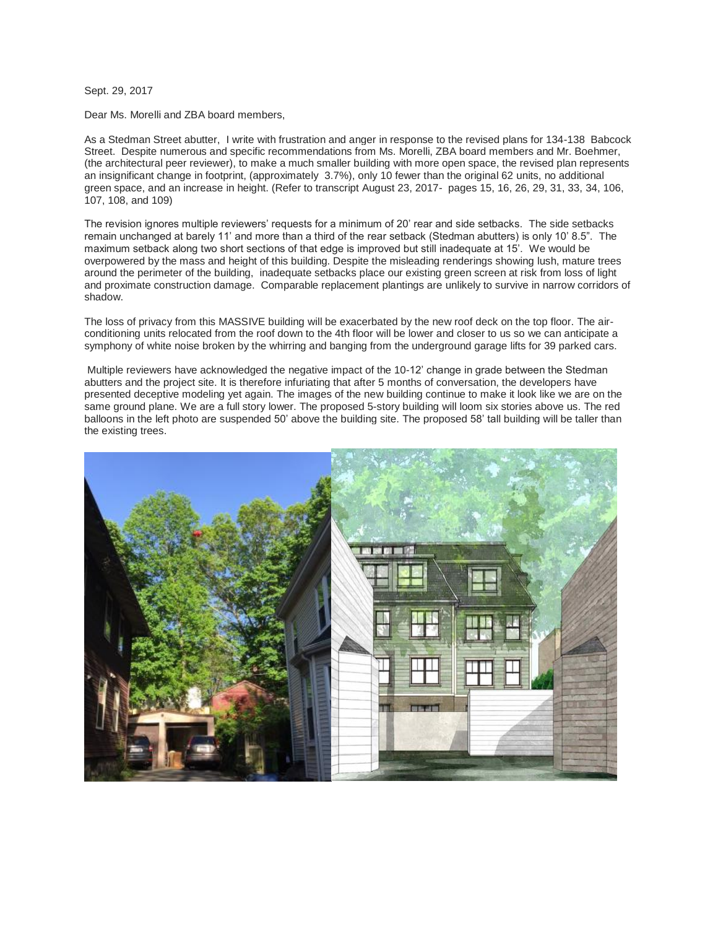Sept. 29, 2017

Dear Ms. Morelli and ZBA board members,

As a Stedman Street abutter, I write with frustration and anger in response to the revised plans for 134-138 Babcock Street. Despite numerous and specific recommendations from Ms. Morelli, ZBA board members and Mr. Boehmer, (the architectural peer reviewer), to make a much smaller building with more open space, the revised plan represents an insignificant change in footprint, (approximately 3.7%), only 10 fewer than the original 62 units, no additional green space, and an increase in height. (Refer to transcript August 23, 2017- pages 15, 16, 26, 29, 31, 33, 34, 106, 107, 108, and 109)

The revision ignores multiple reviewers' requests for a minimum of 20' rear and side setbacks. The side setbacks remain unchanged at barely 11' and more than a third of the rear setback (Stedman abutters) is only 10' 8.5". The maximum setback along two short sections of that edge is improved but still inadequate at 15'. We would be overpowered by the mass and height of this building. Despite the misleading renderings showing lush, mature trees around the perimeter of the building, inadequate setbacks place our existing green screen at risk from loss of light and proximate construction damage. Comparable replacement plantings are unlikely to survive in narrow corridors of shadow.

The loss of privacy from this MASSIVE building will be exacerbated by the new roof deck on the top floor. The airconditioning units relocated from the roof down to the 4th floor will be lower and closer to us so we can anticipate a symphony of white noise broken by the whirring and banging from the underground garage lifts for 39 parked cars.

Multiple reviewers have acknowledged the negative impact of the 10-12' change in grade between the Stedman abutters and the project site. It is therefore infuriating that after 5 months of conversation, the developers have presented deceptive modeling yet again. The images of the new building continue to make it look like we are on the same ground plane. We are a full story lower. The proposed 5-story building will loom six stories above us. The red balloons in the left photo are suspended 50' above the building site. The proposed 58' tall building will be taller than the existing trees.